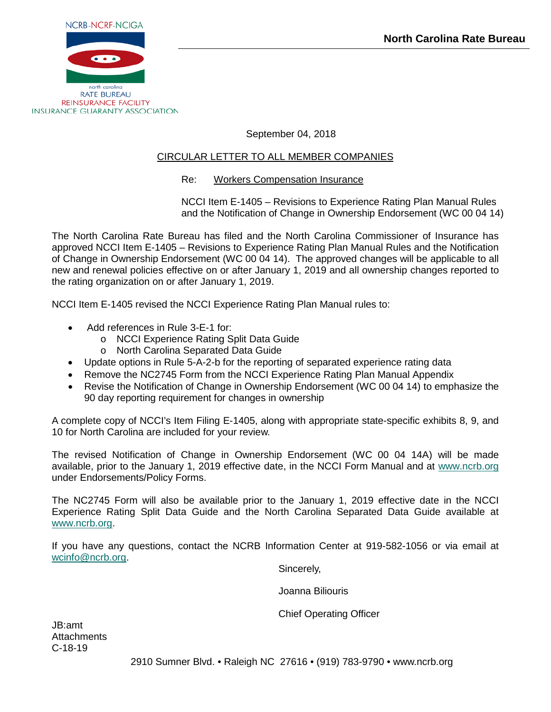

September 04, 2018

# CIRCULAR LETTER TO ALL MEMBER COMPANIES

# Re: Workers Compensation Insurance

NCCI Item E-1405 – Revisions to Experience Rating Plan Manual Rules and the Notification of Change in Ownership Endorsement (WC 00 04 14)

The North Carolina Rate Bureau has filed and the North Carolina Commissioner of Insurance has approved NCCI Item E-1405 – Revisions to Experience Rating Plan Manual Rules and the Notification of Change in Ownership Endorsement (WC 00 04 14). The approved changes will be applicable to all new and renewal policies effective on or after January 1, 2019 and all ownership changes reported to the rating organization on or after January 1, 2019.

NCCI Item E-1405 revised the NCCI Experience Rating Plan Manual rules to:

- Add references in Rule 3-E-1 for:
	- o NCCI Experience Rating Split Data Guide
	- o North Carolina Separated Data Guide
- Update options in Rule 5-A-2-b for the reporting of separated experience rating data
- Remove the NC2745 Form from the NCCI Experience Rating Plan Manual Appendix
- Revise the Notification of Change in Ownership Endorsement (WC 00 04 14) to emphasize the 90 day reporting requirement for changes in ownership

A complete copy of NCCI's Item Filing E-1405, along with appropriate state-specific exhibits 8, 9, and 10 for North Carolina are included for your review.

The revised Notification of Change in Ownership Endorsement (WC 00 04 14A) will be made available, prior to the January 1, 2019 effective date, in the NCCI Form Manual and at [www.ncrb.org](http://www.ncrb.org/) under Endorsements/Policy Forms.

The NC2745 Form will also be available prior to the January 1, 2019 effective date in the NCCI Experience Rating Split Data Guide and the North Carolina Separated Data Guide available at [www.ncrb.org.](http://www.ncrb.org/)

If you have any questions, contact the NCRB Information Center at 919-582-1056 or via email at [wcinfo@ncrb.org.](mailto:wcinfo@ncrb.org)

Sincerely,

Joanna Biliouris

Chief Operating Officer

JB:amt **Attachments** C-18-19

2910 Sumner Blvd. • Raleigh NC 27616 • (919) 783-9790 • www.ncrb.org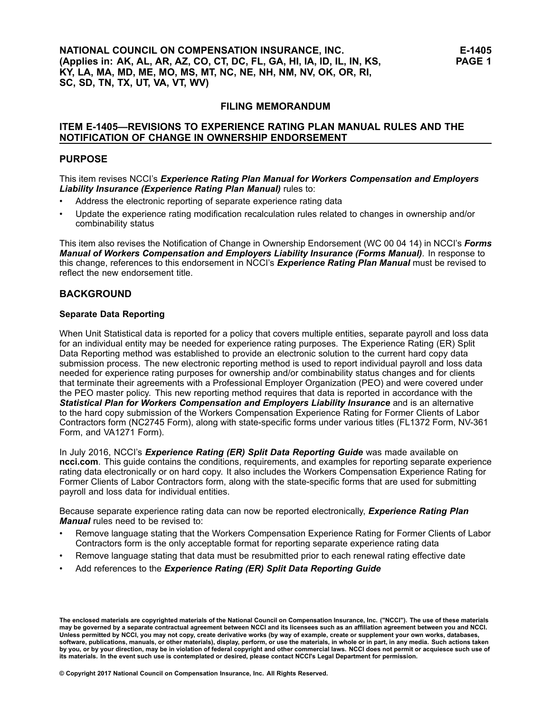#### **FILING MEMORANDUM**

#### **ITEM E-1405—REVISIONS TO EXPERIENCE RATING PLAN MANUAL RULES AND THE NOTIFICATION OF CHANGE IN OWNERSHIP ENDORSEMENT**

#### **PURPOSE**

#### This item revises NCCI's *Experience Rating Plan Manual for Workers Compensation and Employers Liability Insurance (Experience Rating Plan Manual)* rules to:

- •Address the electronic reporting of separate experience rating data
- • Update the experience rating modification recalculation rules related to changes in ownership and/or combinability status

This item also revises the Notification of Change in Ownership Endorsement (WC 00 04 14) in NCCI's *Forms Manual of Workers Compensation and Employers Liability Insurance (Forms Manual)*. In response to this change, references to this endorsement in NCCI's *Experience Rating Plan Manual* must be revised to reflect the new endorsement title.

## **BACKGROUND**

#### **Separate Data Reporting**

When Unit Statistical data is reported for <sup>a</sup> policy that covers multiple entities, separate payroll and loss data for an individual entity may be needed for experience rating purposes. The Experience Rating (ER) Split Data Reporting method was established to provide an electronic solution to the current hard copy data submission process. The new electronic reporting method is used to report individual payroll and loss data needed for experience rating purposes for ownership and/or combinability status changes and for clients that terminate their agreements with <sup>a</sup> Professional Employer Organization (PEO) and were covered under the PEO master policy. This new reporting method requires that data is reported in accordance with the *Statistical Plan for Workers Compensation and Employers Liability Insurance* and is an alternative to the hard copy submission of the Workers Compensation Experience Rating for Former Clients of Labor Contractors form (NC2745 Form), along with state-specific forms under various titles (FL1372 Form, NV-361 Form, and VA1271 Form).

In July 2016, NCCI's *Experience Rating (ER) Split Data Reporting Guide* was made available on **ncci.com**. This guide contains the conditions, requirements, and examples for reporting separate experience rating data electronically or on hard copy. It also includes the Workers Compensation Experience Rating for Former Clients of Labor Contractors form, along with the state-specific forms that are used for submitting payroll and loss data for individual entities.

Because separate experience rating data can now be reported electronically, *Experience Rating Plan Manual* rules need to be revised to:

- • Remove language stating that the Workers Compensation Experience Rating for Former Clients of Labor Contractors form is the only acceptable format for reporting separate experience rating data
- •Remove language stating that data must be resubmitted prior to each renewal rating effective date
- •Add references to the *Experience Rating (ER) Split Data Reporting Guide*

The enclosed materials are copyrighted materials of the National Council on Compensation Insurance, Inc. ("NCCI"). The use of these materials<br>may be governed by a separate contractual agreement between NCCI and its license Unless permitted by NCCI, you may not copy, create derivative works (by way of example, create or supplement your own works, databases, software, publications, manuals, or other materials), display, perform, or use the materials, in whole or in part, in any media. Such actions taken by you, or by your direction, may be in violation of federal copyright and other commercial laws. NCCI does not permit or acquiesce such use of its materials. In the event such use is contemplated or desired, please contact NCCI's Legal Department for permission.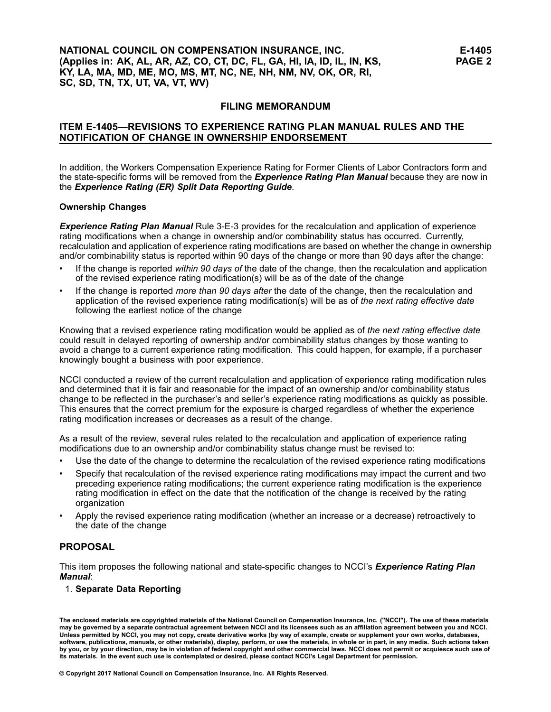# **NATIONAL COUNCIL ON COMPENSATION INSURANCE, INC. (Applies in: AK, AL, AR, AZ, CO, CT, DC, FL, GA, HI, IA, ID, IL, IN, KS, KY, LA, MA, MD, ME, MO, MS, MT, NC, NE, NH, NM, NV, OK, OR, RI, SC, SD, TN, TX, UT, VA, VT, WV)**

#### **FILING MEMORANDUM**

# **ITEM E-1405—REVISIONS TO EXPERIENCE RATING PLAN MANUAL RULES AND THE NOTIFICATION OF CHANGE IN OWNERSHIP ENDORSEMENT**

In addition, the Workers Compensation Experience Rating for Former Clients of Labor Contractors form and the state-specific forms will be removed from the *Experience Rating Plan Manual* because they are now in the *Experience Rating (ER) Split Data Reporting Guide*.

#### **Ownership Changes**

*Experience Rating Plan Manual* Rule 3-E-3 provides for the recalculation and application of experience rating modifications when <sup>a</sup> change in ownership and/or combinability status has occurred. Currently, recalculation and application of experience rating modifications are based on whether the change in ownership and/or combinability status is reported within 90 days of the change or more than 90 days after the change:

- • If the change is reported *within 90 days of* the date of the change, then the recalculation and application of the revised experience rating modification(s) will be as of the date of the change
- • If the change is reported *more than 90 days after* the date of the change, then the recalculation and application of the revised experience rating modification(s) will be as of *the next rating effective date* following the earliest notice of the change

Knowing that <sup>a</sup> revised experience rating modification would be applied as of *the next rating effective date* could result in delayed reporting of ownership and/or combinability status changes by those wanting to avoid <sup>a</sup> change to <sup>a</sup> current experience rating modification. This could happen, for example, if <sup>a</sup> purchaser knowingly bought <sup>a</sup> business with poor experience.

NCCI conducted <sup>a</sup> review of the current recalculation and application of experience rating modification rules and determined that it is fair and reasonable for the impact of an ownership and/or combinability status change to be reflected in the purchaser's and seller's experience rating modifications as quickly as possible. This ensures that the correct premium for the exposure is charged regardless of whether the experience rating modification increases or decreases as <sup>a</sup> result of the change.

As <sup>a</sup> result of the review, several rules related to the recalculation and application of experience rating modifications due to an ownership and/or combinability status change must be revised to:

- •Use the date of the change to determine the recalculation of the revised experience rating modifications
- • Specify that recalculation of the revised experience rating modifications may impact the current and two preceding experience rating modifications; the current experience rating modification is the experience rating modification in effect on the date that the notification of the change is received by the rating organization
- • Apply the revised experience rating modification (whether an increase or <sup>a</sup> decrease) retroactively to the date of the change

# **PROPOSAL**

This item proposes the following national and state-specific changes to NCCI's *Experience Rating Plan Manual*:

1. **Separate Data Reporting**

The enclosed materials are copyrighted materials of the National Council on Compensation Insurance, Inc. ("NCCI"). The use of these materials<br>may be governed by a separate contractual agreement between NCCI and its license Unless permitted by NCCI, you may not copy, create derivative works (by way of example, create or supplement your own works, databases, software, publications, manuals, or other materials), display, perform, or use the materials, in whole or in part, in any media. Such actions taken by you, or by your direction, may be in violation of federal copyright and other commercial laws. NCCI does not permit or acquiesce such use of its materials. In the event such use is contemplated or desired, please contact NCCI's Legal Department for permission.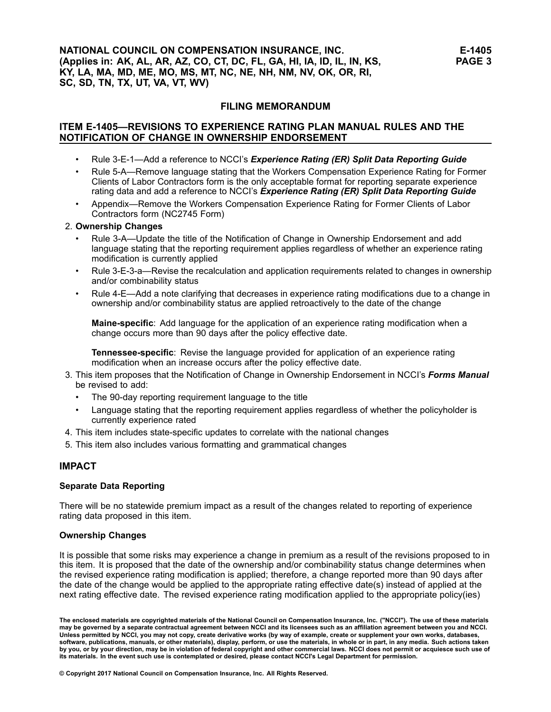## **FILING MEMORANDUM**

# **ITEM E-1405—REVISIONS TO EXPERIENCE RATING PLAN MANUAL RULES AND THE NOTIFICATION OF CHANGE IN OWNERSHIP ENDORSEMENT**

- •Rule 3-E-1—Add <sup>a</sup> reference to NCCI's *Experience Rating (ER) Split Data Reporting Guide*
- • Rule 5-A—Remove language stating that the Workers Compensation Experience Rating for Former Clients of Labor Contractors form is the only acceptable format for reporting separate experience rating data and add <sup>a</sup> reference to NCCI's *Experience Rating (ER) Split Data Reporting Guide*
- • Appendix—Remove the Workers Compensation Experience Rating for Former Clients of Labor Contractors form (NC2745 Form)

#### 2. **Ownership Changes**

- • Rule 3-A—Update the title of the Notification of Change in Ownership Endorsement and add language stating that the reporting requirement applies regardless of whether an experience rating modification is currently applied
- • Rule 3-E-3-a—Revise the recalculation and application requirements related to changes in ownership and/or combinability status
- • Rule 4-E—Add <sup>a</sup> note clarifying that decreases in experience rating modifications due to <sup>a</sup> change in ownership and/or combinability status are applied retroactively to the date of the change

**Maine-specific**: Add language for the application of an experience rating modification when <sup>a</sup> change occurs more than 90 days after the policy effective date.

**Tennessee-specific**: Revise the language provided for application of an experience rating modification when an increase occurs after the policy effective date.

- 3. This item proposes that the Notification of Change in Ownership Endorsement in NCCI's *Forms Manual* be revised to add:
	- •The 90-day reporting requirement language to the title
	- • Language stating that the reporting requirement applies regardless of whether the policyholder is currently experience rated
- 4. This item includes state-specific updates to correlate with the national changes
- 5. This item also includes various formatting and grammatical changes

#### **IMPACT**

#### **Separate Data Reporting**

There will be no statewide premium impact as <sup>a</sup> result of the changes related to reporting of experience rating data proposed in this item.

#### **Ownership Changes**

It is possible that some risks may experience <sup>a</sup> change in premium as <sup>a</sup> result of the revisions proposed to in this item. It is proposed that the date of the ownership and/or combinability status change determines when the revised experience rating modification is applied; therefore, <sup>a</sup> change reported more than 90 days after the date of the change would be applied to the appropriate rating effective date(s) instead of applied at the next rating effective date. The revised experience rating modification applied to the appropriate policy(ies)

The enclosed materials are copyrighted materials of the National Council on Compensation Insurance, Inc. ("NCCI"). The use of these materials<br>may be governed by a separate contractual agreement between NCCI and its license Unless permitted by NCCI, you may not copy, create derivative works (by way of example, create or supplement your own works, databases, software, publications, manuals, or other materials), display, perform, or use the materials, in whole or in part, in any media. Such actions taken by you, or by your direction, may be in violation of federal copyright and other commercial laws. NCCI does not permit or acquiesce such use of its materials. In the event such use is contemplated or desired, please contact NCCI's Legal Department for permission.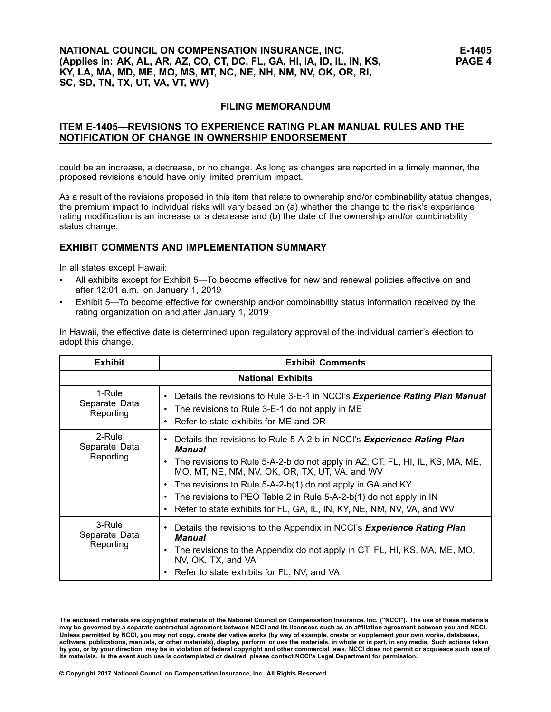# **NATIONAL COUNCIL ON COMPENSATION INSURANCE, INC. (Applies in: AK, AL, AR, AZ, CO, CT, DC, FL, GA, HI, IA, ID, IL, IN, KS, KY, LA, MA, MD, ME, MO, MS, MT, NC, NE, NH, NM, NV, OK, OR, RI, SC, SD, TN, TX, UT, VA, VT, WV)**

## **FILING MEMORANDUM**

# **ITEM E-1405—REVISIONS TO EXPERIENCE RATING PLAN MANUAL RULES AND THE NOTIFICATION OF CHANGE IN OWNERSHIP ENDORSEMENT**

could be an increase, <sup>a</sup> decrease, or no change. As long as changes are reported in <sup>a</sup> timely manner, the proposed revisions should have only limited premium impact.

As <sup>a</sup> result of the revisions proposed in this item that relate to ownership and/or combinability status changes, the premium impact to individual risks will vary based on (a) whether the change to the risk's experience rating modification is an increase or a decrease and (b) the date of the ownership and/or combinability status change.

## **EXHIBIT COMMENTS AND IMPLEMENTATION SUMMARY**

In all states except Hawaii:

- • All exhibits except for Exhibit 5—To become effective for new and renewal policies effective on and after 12:01 a.m. on January 1, 2019
- • Exhibit 5—To become effective for ownership and/or combinability status information received by the rating organization on and after January 1, 2019

In Hawaii, the effective date is determined upon regulatory approval of the individual carrier's election to adopt this change.

| <b>Exhibit</b>                       | <b>Exhibit Comments</b>                                                                                                                                                                                                                                                                                                                                                                                                                            |
|--------------------------------------|----------------------------------------------------------------------------------------------------------------------------------------------------------------------------------------------------------------------------------------------------------------------------------------------------------------------------------------------------------------------------------------------------------------------------------------------------|
|                                      | <b>National Exhibits</b>                                                                                                                                                                                                                                                                                                                                                                                                                           |
| 1-Rule<br>Separate Data<br>Reporting | • Details the revisions to Rule 3-E-1 in NCCI's <i>Experience Rating Plan Manual</i><br>The revisions to Rule 3-E-1 do not apply in ME<br>٠<br>Refer to state exhibits for ME and OR<br>٠                                                                                                                                                                                                                                                          |
| 2-Rule<br>Separate Data<br>Reporting | Details the revisions to Rule 5-A-2-b in NCCI's Experience Rating Plan<br>٠<br>Manual<br>The revisions to Rule 5-A-2-b do not apply in AZ, CT, FL, HI, IL, KS, MA, ME,<br>MO, MT, NE, NM, NV, OK, OR, TX, UT, VA, and WV<br>• The revisions to Rule 5-A-2-b(1) do not apply in GA and KY<br>The revisions to PEO Table 2 in Rule 5-A-2-b(1) do not apply in IN<br>٠<br>Refer to state exhibits for FL, GA, IL, IN, KY, NE, NM, NV, VA, and WV<br>٠ |
| 3-Rule<br>Separate Data<br>Reporting | Details the revisions to the Appendix in NCCI's <b>Experience Rating Plan</b><br>٠<br>Manual<br>The revisions to the Appendix do not apply in CT, FL, HI, KS, MA, ME, MO,<br>٠<br>NV, OK, TX, and VA<br>• Refer to state exhibits for FL, NV, and VA                                                                                                                                                                                               |

The enclosed materials are copyrighted materials of the National Council on Compensation Insurance, Inc. ("NCCI"). The use of these materials<br>may be governed by a separate contractual agreement between NCCI and its license Unless permitted by NCCI, you may not copy, create derivative works (by way of example, create or supplement your own works, databases, software, publications, manuals, or other materials), display, perform, or use the materials, in whole or in part, in any media. Such actions taken by you, or by your direction, may be in violation of federal copyright and other commercial laws. NCCI does not permit or acquiesce such use of its materials. In the event such use is contemplated or desired, please contact NCCI's Legal Department for permission.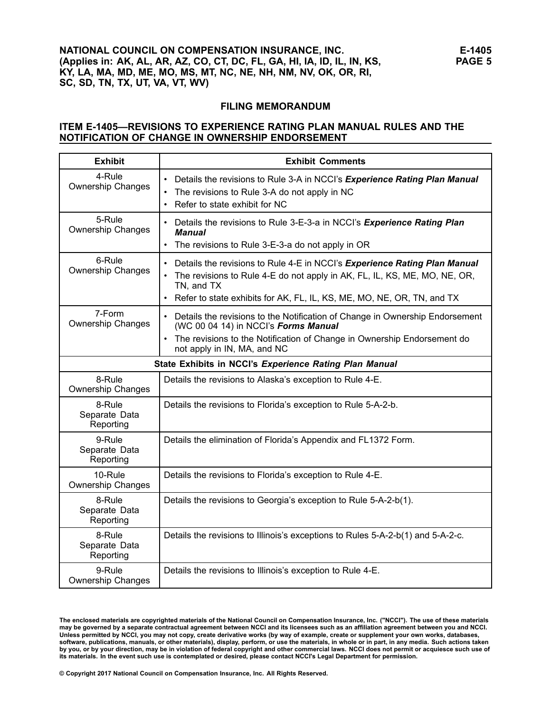#### **FILING MEMORANDUM**

## **ITEM E-1405—REVISIONS TO EXPERIENCE RATING PLAN MANUAL RULES AND THE NOTIFICATION OF CHANGE IN OWNERSHIP ENDORSEMENT**

| <b>Exhibit</b>                         | <b>Exhibit Comments</b>                                                                                                                                                                                                                             |
|----------------------------------------|-----------------------------------------------------------------------------------------------------------------------------------------------------------------------------------------------------------------------------------------------------|
| 4-Rule<br><b>Ownership Changes</b>     | Details the revisions to Rule 3-A in NCCI's Experience Rating Plan Manual<br>$\bullet$<br>The revisions to Rule 3-A do not apply in NC<br>$\bullet$<br>Refer to state exhibit for NC<br>$\bullet$                                                   |
| 5-Rule<br><b>Ownership Changes</b>     | Details the revisions to Rule 3-E-3-a in NCCI's Experience Rating Plan<br>Manual<br>The revisions to Rule 3-E-3-a do not apply in OR                                                                                                                |
| 6-Rule<br><b>Ownership Changes</b>     | Details the revisions to Rule 4-E in NCCI's Experience Rating Plan Manual<br>The revisions to Rule 4-E do not apply in AK, FL, IL, KS, ME, MO, NE, OR,<br>٠<br>TN, and TX<br>Refer to state exhibits for AK, FL, IL, KS, ME, MO, NE, OR, TN, and TX |
| 7-Form<br>Ownership Changes            | • Details the revisions to the Notification of Change in Ownership Endorsement<br>(WC 00 04 14) in NCCl's Forms Manual<br>The revisions to the Notification of Change in Ownership Endorsement do<br>not apply in IN, MA, and NC                    |
|                                        | State Exhibits in NCCI's Experience Rating Plan Manual                                                                                                                                                                                              |
| 8-Rule<br><b>Ownership Changes</b>     | Details the revisions to Alaska's exception to Rule 4-E.                                                                                                                                                                                            |
| 8-Rule<br>Separate Data<br>Reporting   | Details the revisions to Florida's exception to Rule 5-A-2-b.                                                                                                                                                                                       |
| 9-Rule<br>Separate Data<br>Reporting   | Details the elimination of Florida's Appendix and FL1372 Form.                                                                                                                                                                                      |
| $10$ -Rule<br><b>Ownership Changes</b> | Details the revisions to Florida's exception to Rule 4-E.                                                                                                                                                                                           |
| 8-Rule<br>Separate Data<br>Reporting   | Details the revisions to Georgia's exception to Rule 5-A-2-b(1).                                                                                                                                                                                    |
| 8-Rule<br>Separate Data<br>Reporting   | Details the revisions to Illinois's exceptions to Rules 5-A-2-b(1) and 5-A-2-c.                                                                                                                                                                     |
| 9-Rule<br><b>Ownership Changes</b>     | Details the revisions to Illinois's exception to Rule 4-E.                                                                                                                                                                                          |

The enclosed materials are copyrighted materials of the National Council on Compensation Insurance, Inc. ("NCCI"). The use of these materials<br>may be governed by a separate contractual agreement between NCCI and its license Unless permitted by NCCI, you may not copy, create derivative works (by way of example, create or supplement your own works, databases, software, publications, manuals, or other materials), display, perform, or use the materials, in whole or in part, in any media. Such actions taken by you, or by your direction, may be in violation of federal copyright and other commercial laws. NCCI does not permit or acquiesce such use of its materials. In the event such use is contemplated or desired, please contact NCCI's Legal Department for permission.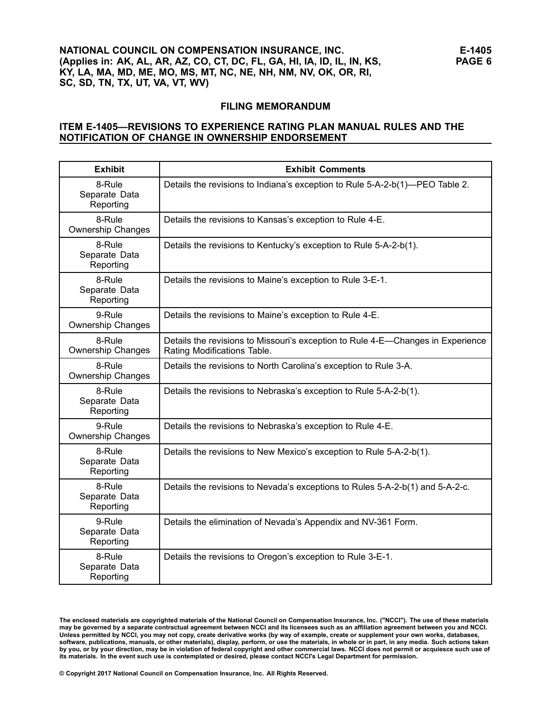# **NATIONAL COUNCIL ON COMPENSATION INSURANCE, INC. (Applies in: AK, AL, AR, AZ, CO, CT, DC, FL, GA, HI, IA, ID, IL, IN, KS, KY, LA, MA, MD, ME, MO, MS, MT, NC, NE, NH, NM, NV, OK, OR, RI, SC, SD, TN, TX, UT, VA, VT, WV)**

#### **FILING MEMORANDUM**

#### **ITEM E-1405—REVISIONS TO EXPERIENCE RATING PLAN MANUAL RULES AND THE NOTIFICATION OF CHANGE IN OWNERSHIP ENDORSEMENT**

| <b>Exhibit</b>                       | <b>Exhibit Comments</b>                                                                                        |
|--------------------------------------|----------------------------------------------------------------------------------------------------------------|
| 8-Rule<br>Separate Data<br>Reporting | Details the revisions to Indiana's exception to Rule 5-A-2-b(1)—PEO Table 2.                                   |
| 8-Rule<br><b>Ownership Changes</b>   | Details the revisions to Kansas's exception to Rule 4-E.                                                       |
| 8-Rule<br>Separate Data<br>Reporting | Details the revisions to Kentucky's exception to Rule 5-A-2-b(1).                                              |
| 8-Rule<br>Separate Data<br>Reporting | Details the revisions to Maine's exception to Rule 3-E-1.                                                      |
| 9-Rule<br>Ownership Changes          | Details the revisions to Maine's exception to Rule 4-E.                                                        |
| 8-Rule<br><b>Ownership Changes</b>   | Details the revisions to Missouri's exception to Rule 4-E-Changes in Experience<br>Rating Modifications Table. |
| 8-Rule<br><b>Ownership Changes</b>   | Details the revisions to North Carolina's exception to Rule 3-A.                                               |
| 8-Rule<br>Separate Data<br>Reporting | Details the revisions to Nebraska's exception to Rule 5-A-2-b(1).                                              |
| 9-Rule<br><b>Ownership Changes</b>   | Details the revisions to Nebraska's exception to Rule 4-E.                                                     |
| 8-Rule<br>Separate Data<br>Reporting | Details the revisions to New Mexico's exception to Rule 5-A-2-b(1).                                            |
| 8-Rule<br>Separate Data<br>Reporting | Details the revisions to Nevada's exceptions to Rules 5-A-2-b(1) and 5-A-2-c.                                  |
| 9-Rule<br>Separate Data<br>Reporting | Details the elimination of Nevada's Appendix and NV-361 Form.                                                  |
| 8-Rule<br>Separate Data<br>Reporting | Details the revisions to Oregon's exception to Rule 3-E-1.                                                     |

The enclosed materials are copyrighted materials of the National Council on Compensation Insurance, Inc. ("NCCI"). The use of these materials<br>may be governed by a separate contractual agreement between NCCI and its license Unless permitted by NCCI, you may not copy, create derivative works (by way of example, create or supplement your own works, databases, software, publications, manuals, or other materials), display, perform, or use the materials, in whole or in part, in any media. Such actions taken by you, or by your direction, may be in violation of federal copyright and other commercial laws. NCCI does not permit or acquiesce such use of its materials. In the event such use is contemplated or desired, please contact NCCI's Legal Department for permission.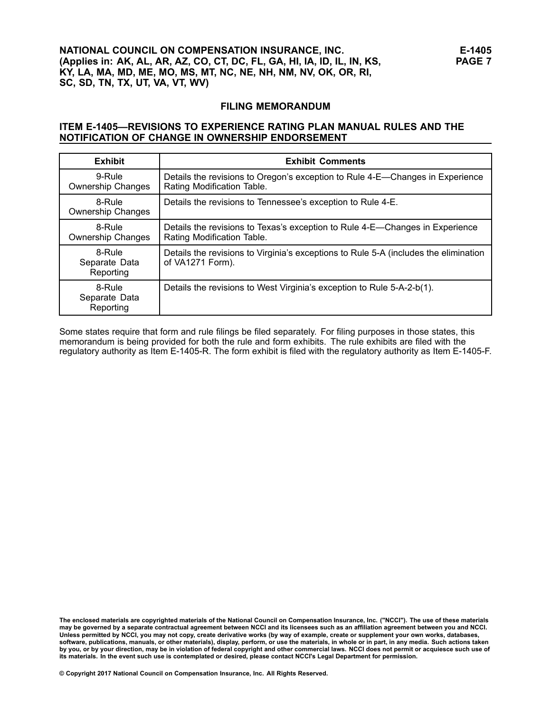#### **FILING MEMORANDUM**

# **ITEM E-1405—REVISIONS TO EXPERIENCE RATING PLAN MANUAL RULES AND THE NOTIFICATION OF CHANGE IN OWNERSHIP ENDORSEMENT**

| <b>Exhibit</b>                       | <b>Exhibit Comments</b>                                                                                     |
|--------------------------------------|-------------------------------------------------------------------------------------------------------------|
| 9-Rule<br><b>Ownership Changes</b>   | Details the revisions to Oregon's exception to Rule 4-E—Changes in Experience<br>Rating Modification Table. |
| 8-Rule<br><b>Ownership Changes</b>   | Details the revisions to Tennessee's exception to Rule 4-E.                                                 |
| 8-Rule<br><b>Ownership Changes</b>   | Details the revisions to Texas's exception to Rule 4-E—Changes in Experience<br>Rating Modification Table.  |
| 8-Rule<br>Separate Data<br>Reporting | Details the revisions to Virginia's exceptions to Rule 5-A (includes the elimination<br>of VA1271 Form).    |
| 8-Rule<br>Separate Data<br>Reporting | Details the revisions to West Virginia's exception to Rule 5-A-2-b(1).                                      |

Some states require that form and rule filings be filed separately. For filing purposes in those states, this memorandum is being provided for both the rule and form exhibits. The rule exhibits are filed with the regulatory authority as Item E-1405-R. The form exhibit is filed with the regulatory authority as Item E-1405-F.

The enclosed materials are copyrighted materials of the National Council on Compensation Insurance, Inc. ("NCCI"). The use of these materials<br>may be governed by a separate contractual agreement between NCCI and its license Unless permitted by NCCI, you may not copy, create derivative works (by way of example, create or supplement your own works, databases, software, publications, manuals, or other materials), display, perform, or use the materials, in whole or in part, in any media. Such actions taken by you, or by your direction, may be in violation of federal copyright and other commercial laws. NCCI does not permit or acquiesce such use of its materials. In the event such use is contemplated or desired, please contact NCCI's Legal Department for permission.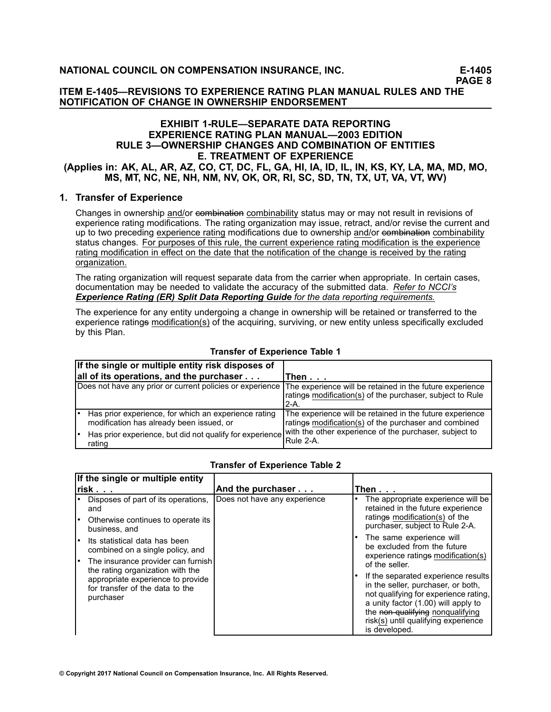**PAGE 8**

**ITEM E-1405—REVISIONS TO EXPERIENCE RATING PLAN MANUAL RULES AND THE NOTIFICATION OF CHANGE IN OWNERSHIP ENDORSEMENT**

#### **EXHIBIT 1-RULE—SEPARATE DATA REPORTING EXPERIENCE RATING PLAN MANUAL—2003 EDITION RULE 3—OWNERSHIP CHANGES AND COMBINATION OF ENTITIES E. TREATMENT OF EXPERIENCE** (Applies in: AK, AL, AR, AZ, CO, CT, DC, FL, GA, HI, IA, ID, IL, IN, KS, KY, LA, MA, MD, MO, **MS, MT, NC, NE, NH, NM, NV, OK, OR, RI, SC, SD, TN, TX, UT, VA, VT, WV)**

# **1. Transfer of Experience**

Changes in ownership and/or combination combinability status may or may not result in revisions of experience rating modifications. The rating organization may issue, retract, and/or revise the current and up to two preceding experience rating modifications due to ownership and/or eombination combinability status changes. For purposes of this rule, the current experience rating modification is the experience rating modification in effect on the date that the notification of the change is received by the rating organization.

The rating organization will request separate data from the carrier when appropriate. In certain cases, documentation may be needed to validate the accuracy of the submitted data. *Refer to NCCI's Experience Rating (ER) Split Data Reporting Guide for the data reporting requirements.*

The experience for any entity undergoing <sup>a</sup> change in ownership will be retained or transferred to the experience ratings modification(s) of the acquiring, surviving, or new entity unless specifically excluded by this Plan.

|    | If the single or multiple entity risk disposes of                                                |                                                                                                                                 |
|----|--------------------------------------------------------------------------------------------------|---------------------------------------------------------------------------------------------------------------------------------|
|    | all of its operations, and the purchaser $\dots$                                                 | Then $\ldots$                                                                                                                   |
|    | Does not have any prior or current policies or experience                                        | The experience will be retained in the future experience<br>ratings modification(s) of the purchaser, subject to Rule<br>$2-A.$ |
|    | Has prior experience, for which an experience rating<br>modification has already been issued, or | The experience will be retained in the future experience<br>ratings modification(s) of the purchaser and combined               |
| ∣• | Has prior experience, but did not qualify for experience<br>rating                               | with the other experience of the purchaser, subject to<br>Rule 2-A.                                                             |

# **Transfer of Experience Table 1**

| If the single or multiple entity                                                                                      |                              |                                                                                                                                                                                                                                                       |  |  |  |
|-----------------------------------------------------------------------------------------------------------------------|------------------------------|-------------------------------------------------------------------------------------------------------------------------------------------------------------------------------------------------------------------------------------------------------|--|--|--|
| $risk.$                                                                                                               | And the purchaser            | Then...                                                                                                                                                                                                                                               |  |  |  |
| Disposes of part of its operations,<br>and<br>Otherwise continues to operate its<br>business, and                     | Does not have any experience | The appropriate experience will be<br>retained in the future experience<br>ratings modification(s) of the<br>purchaser, subject to Rule 2-A.                                                                                                          |  |  |  |
| Its statistical data has been<br>combined on a single policy, and<br>The insurance provider can furnish               |                              | The same experience will<br>be excluded from the future<br>experience ratings modification(s)<br>of the seller.                                                                                                                                       |  |  |  |
| the rating organization with the<br>appropriate experience to provide<br>for transfer of the data to the<br>purchaser |                              | If the separated experience results<br>in the seller, purchaser, or both,<br>not qualifying for experience rating,<br>a unity factor (1.00) will apply to<br>the non-qualifying nonqualifying<br>risk(s) until qualifying experience<br>is developed. |  |  |  |

# **Transfer of Experience Table 2**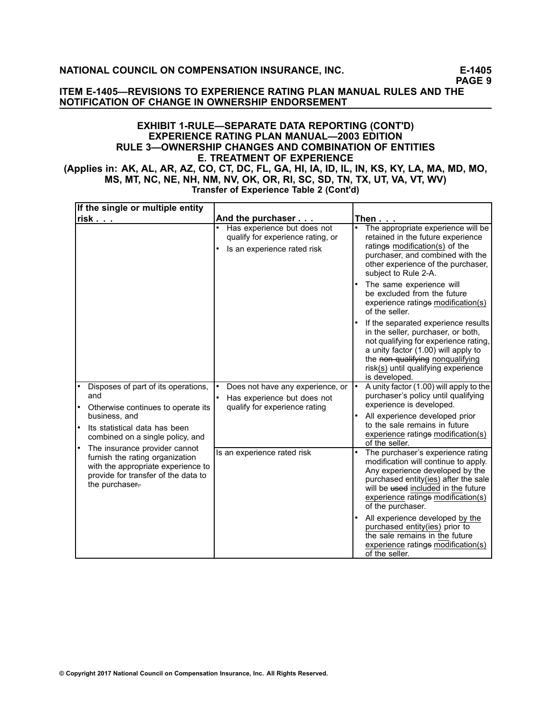**ITEM E-1405—REVISIONS TO EXPERIENCE RATING PLAN MANUAL RULES AND THE NOTIFICATION OF CHANGE IN OWNERSHIP ENDORSEMENT**

#### **EXHIBIT 1-RULE—SEPARATE DATA REPORTING (CONT'D) EXPERIENCE RATING PLAN MANUAL—2003 EDITION RULE 3—OWNERSHIP CHANGES AND COMBINATION OF ENTITIES E. TREATMENT OF EXPERIENCE** (Applies in: AK, AL, AR, AZ, CO, CT, DC, FL, GA, HI, IA, ID, IL, IN, KS, KY, LA, MA, MD, MO, **MS, MT, NC, NE, NH, NM, NV, OK, OR, RI, SC, SD, TN, TX, UT, VA, VT, WV) Transfer of Experience Table 2 (Cont'd)**

**If the single or multiple entity risk . . . And the purchaser . . . Then . . .** • Has experience but does not qualify for experience rating, or • Is an experience rated risk • The appropriate experience will be retained in the future experience ratings modification(s) of the purchaser, and combined with the other experience of the purchaser, subject to Rule 2-A. • The same experience will be excluded from the future experience ratings modification(s) of the seller. • If the separated experience results in the seller, purchaser, or both, not qualifying for experience rating, <sup>a</sup> unity factor (1.00) will apply to the non-qualifying nonqualifying risk(s) until qualifying experience is developed. • Does not have any experience, or • Has experience but does not qualify for experience rating • A unity factor (1.00) will apply to the purchaser's policy until qualifying experience is developed. • All experience developed prior to the sale remains in future experience ratings modification(s) of the seller. • Disposes of part of its operations, and • Otherwise continues to operate its business, and • Its statistical data has been combined on <sup>a</sup> single policy, and • The insurance provider cannot furnish the rating organization with the appropriate experience to provide for transfer of the data to the purchaser-Is an experience rated risk **•** The purchaser's experience rating modification will continue to apply. Any experience developed by the purchased entity(ies) after the sale will be used included in the future experience ratings modification(s) of the purchaser. • All experience developed by the purchased entity(ies) prior to the sale remains in the future experience ratings modification(s) of the seller.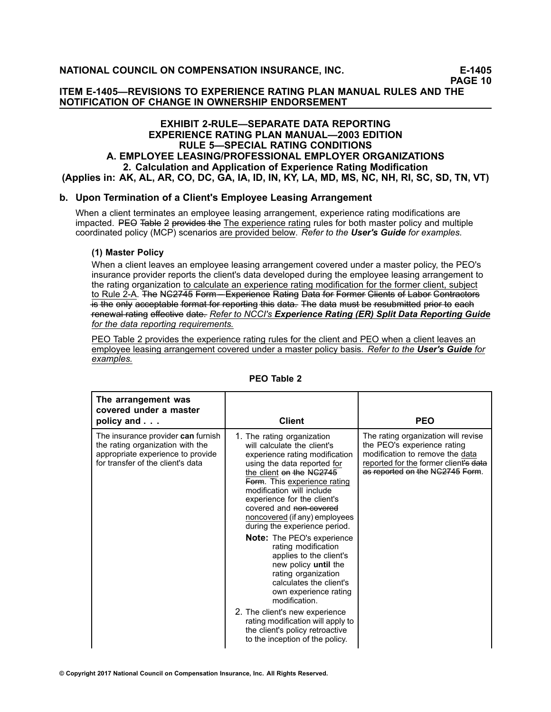#### **ITEM E-1405—REVISIONS TO EXPERIENCE RATING PLAN MANUAL RULES AND THE NOTIFICATION OF CHANGE IN OWNERSHIP ENDORSEMENT**

# **EXHIBIT 2-RULE—SEPARATE DATA REPORTING EXPERIENCE RATING PLAN MANUAL—2003 EDITION RULE 5—SPECIAL RATING CONDITIONS A. EMPLOYEE LEASING/PROFESSIONAL EMPLOYER ORGANIZATIONS 2. Calculation and Application of Experience Rating Modification** (Applies in: AK, AL, AR, CO, DC, GA, IA, ID, IN, KY, LA, MD, MS, NC, NH, RI, SC, SD, TN, VT)

# **b. Upon Termination of <sup>a</sup> Client's Employee Leasing Arrangement**

When <sup>a</sup> client terminates an employee leasing arrangement, experience rating modifications are impacted. PEO–Table 2 provides the The experience rating rules for both master policy and multiple coordinated policy (MCP) scenarios are provided below. *Refer to the [User's](/manuscript/hyperlink.asp?docid=ERUsersGuideUsers) Guide for examples.*

## **(1) Master Policy**

When <sup>a</sup> client leaves an employee leasing arrangement covered under <sup>a</sup> master policy, the PEO's insurance provider reports the client's data developed during the employee leasing arrangement to the rating organization to calculate an experience rating modification for the former client, subject to Rule 2-A. The NG2745 Form—Experience Rating Data for Former Glients of Labor Gontractors  $+$ s the only acceptable format for reporting this data. The data must be resubmitted prior to each –re–n–e–w–a–l––ra–t––in–g– e–f––fe–c––t–i–ve– d–a–t–e–.– *Refer to NCCI's Experience Rating (ER) Split Data Reporting Guide for the data reporting requirements.*

PEO Table 2 provides the experience rating rules for the client and PEO when <sup>a</sup> client leaves an employee leasing arrangement covered under <sup>a</sup> master policy basis. *Refer to the User's Guide for examples.*

| The arrangement was<br>covered under a master<br>policy and                                                                                             | <b>Client</b>                                                                                                                                                                                                                                                                                                                                                                                                                                                                                                                                                                                                                                                                                           | <b>PEO</b>                                                                                                                                                                        |
|---------------------------------------------------------------------------------------------------------------------------------------------------------|---------------------------------------------------------------------------------------------------------------------------------------------------------------------------------------------------------------------------------------------------------------------------------------------------------------------------------------------------------------------------------------------------------------------------------------------------------------------------------------------------------------------------------------------------------------------------------------------------------------------------------------------------------------------------------------------------------|-----------------------------------------------------------------------------------------------------------------------------------------------------------------------------------|
| The insurance provider <b>can</b> furnish<br>the rating organization with the<br>appropriate experience to provide<br>for transfer of the client's data | 1. The rating organization<br>will calculate the client's<br>experience rating modification<br>using the data reported for<br>the client on the NG2745<br>Form. This experience rating<br>modification will include<br>experience for the client's<br>covered and non-covered<br>noncovered (if any) employees<br>during the experience period.<br><b>Note:</b> The PEO's experience<br>rating modification<br>applies to the client's<br>new policy until the<br>rating organization<br>calculates the client's<br>own experience rating<br>modification.<br>2. The client's new experience<br>rating modification will apply to<br>the client's policy retroactive<br>to the inception of the policy. | The rating organization will revise<br>the PEO's experience rating<br>modification to remove the data<br>reported for the former client's data<br>as reported on the NG2745 Form. |

#### **PEO Table 2**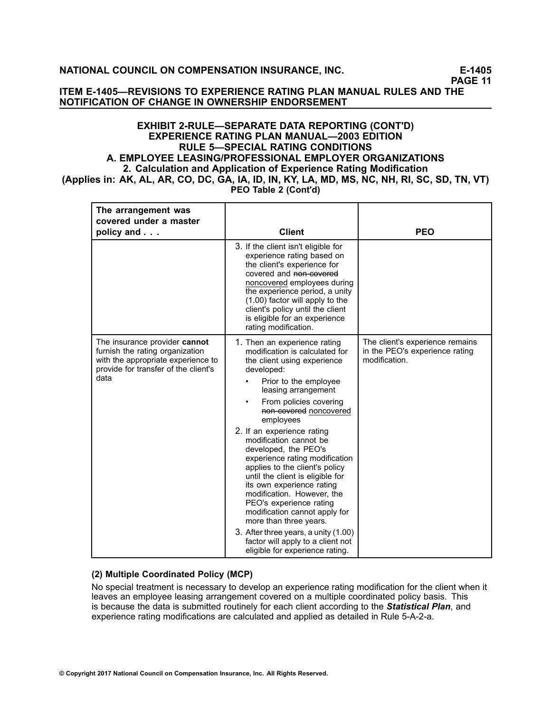#### **ITEM E-1405—REVISIONS TO EXPERIENCE RATING PLAN MANUAL RULES AND THE NOTIFICATION OF CHANGE IN OWNERSHIP ENDORSEMENT**

#### **EXHIBIT 2-RULE—SEPARATE DATA REPORTING (CONT'D) EXPERIENCE RATING PLAN MANUAL—2003 EDITION RULE 5—SPECIAL RATING CONDITIONS A. EMPLOYEE LEASING/PROFESSIONAL EMPLOYER ORGANIZATIONS 2. Calculation and Application of Experience Rating Modification** (Applies in: AK, AL, AR, CO, DC, GA, IA, ID, IN, KY, LA, MD, MS, NC, NH, RI, SC, SD, TN, VT) **PEO Table 2 (Cont'd)**

| The arrangement was<br>covered under a master<br>policy and                                                                                            | <b>Client</b>                                                                                                                                                                                                                                                                                                                                                                                                                                                                                                                                                                                                                                                                         | <b>PEO</b>                                                                         |
|--------------------------------------------------------------------------------------------------------------------------------------------------------|---------------------------------------------------------------------------------------------------------------------------------------------------------------------------------------------------------------------------------------------------------------------------------------------------------------------------------------------------------------------------------------------------------------------------------------------------------------------------------------------------------------------------------------------------------------------------------------------------------------------------------------------------------------------------------------|------------------------------------------------------------------------------------|
|                                                                                                                                                        | 3. If the client isn't eligible for<br>experience rating based on<br>the client's experience for<br>covered and non-covered<br>noncovered employees during<br>the experience period, a unity<br>(1.00) factor will apply to the<br>client's policy until the client<br>is eligible for an experience<br>rating modification.                                                                                                                                                                                                                                                                                                                                                          |                                                                                    |
| The insurance provider cannot<br>furnish the rating organization<br>with the appropriate experience to<br>provide for transfer of the client's<br>data | 1. Then an experience rating<br>modification is calculated for<br>the client using experience<br>developed:<br>Prior to the employee<br>leasing arrangement<br>From policies covering<br>non-covered noncovered<br>employees<br>2. If an experience rating<br>modification cannot be<br>developed, the PEO's<br>experience rating modification<br>applies to the client's policy<br>until the client is eligible for<br>its own experience rating<br>modification. However, the<br>PEO's experience rating<br>modification cannot apply for<br>more than three years.<br>3. After three years, a unity (1.00)<br>factor will apply to a client not<br>eligible for experience rating. | The client's experience remains<br>in the PEO's experience rating<br>modification. |

# **(2) Multiple Coordinated Policy (MCP)**

No special treatment is necessary to develop an experience rating modification for the client when it leaves an employee leasing arrangement covered on <sup>a</sup> multiple coordinated policy basis. This is because the data is submitted routinely for each client according to the *[Statistical](/manuscript/hyperlink.asp?docid=StatPlanPart1-F) Plan*, and experience rating modifications are calculated and applied as detailed in Rule 5-A-2-a.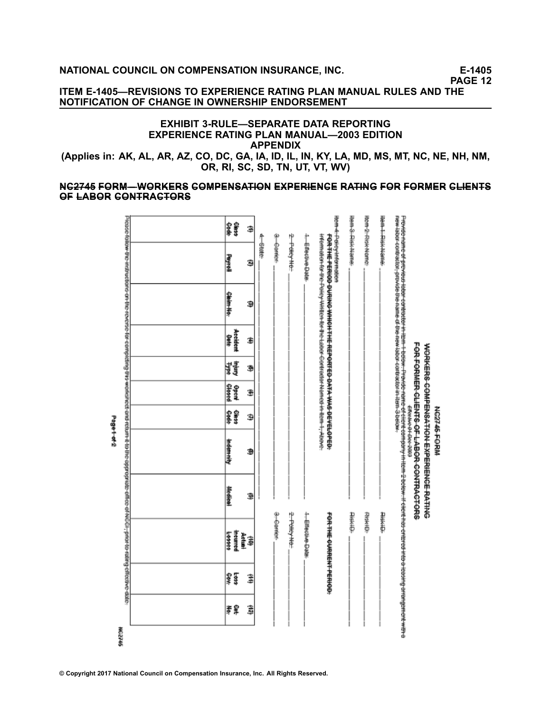NG2746-FORM

**ITEM E-1405—REVISIONS TO EXPERIENCE RATING PLAN MANUAL RULES AND THE NOTIFICATION OF CHANGE IN OWNERSHIP ENDORSEMENT**

#### **EXHIBIT 3-RULE—SEPARATE DATA REPORTING EXPERIENCE RATING PLAN MANUAL—2003 EDITION APPENDIX**

(Applies in: AK, AL, AR, AZ, CO, DC, GA, IA, ID, IL, IN, KY, LA, MD, MS, MT, NC, NE, NH, NM, **OR, RI, SC, SD, TN, UT, VT, WV)**

#### **N–C–2–7–4–5– F–O–R–M–—– W– O–R–K–E–R–S– C–O–M–P–E–N–S–A–T––IO–N– E–X–P–E–R––IE–N–C–E– R–A–T––IN–G– F–O–R– F–O–R–M–E–R– C–L––IE–N–T–S– O–F– L–A–B–O–R– C–O–N–T–R–A–C–T–O–R–S–**

| <b>Page+of2</b> | Piese follow the instructions on the revens-for compiting the workshots only return it to the oppropriate of the child-piese for a later to the child clientic date. | <b>OB</b><br><b><i><u><b>Reyroll</b></u></i></b><br><del>Claim No.</del><br>Accident<br>睾<br>精<br><b>OPEN</b><br>霉素<br><b>Helen High</b><br><b>Wellet</b> | ₿<br>G<br>Э<br>٤<br>Э<br>Ŧ<br>Э<br>Э<br>Ð | 个的事<br>φ<br><b>Comes</b> | 2-Paley He:   | <b>Herefore</b>  | tem-4-Poisytntermation<br>HORITAL PRODUCTION ASSESSMENT THE PRODUCT TO A SERIES OF STATE PRODUCT. | tem-8-Risk-Name- | Home-Printers | Hem + Risk Name: | PR#1804-00403001-00100404-001004-001004-001004-001004-001004-001004-001004-001004-<br>Frovide name of provided dibit-contractor in The Hotive. Provide name di citeric company in Henri-Televit-Henric Henric Henric District Controlly and the Walled Walled Walled States of the state of the state of the state o<br>FOR-FORNER-CLEATS-OF-LABOR-CONTRACTORS<br>1989901001001000 |
|-----------------|----------------------------------------------------------------------------------------------------------------------------------------------------------------------|-----------------------------------------------------------------------------------------------------------------------------------------------------------|-------------------------------------------|--------------------------|---------------|------------------|---------------------------------------------------------------------------------------------------|------------------|---------------|------------------|------------------------------------------------------------------------------------------------------------------------------------------------------------------------------------------------------------------------------------------------------------------------------------------------------------------------------------------------------------------------------------|
|                 |                                                                                                                                                                      |                                                                                                                                                           |                                           |                          |               |                  |                                                                                                   |                  |               |                  |                                                                                                                                                                                                                                                                                                                                                                                    |
|                 |                                                                                                                                                                      | Heamed<br>144444                                                                                                                                          | Aetum<br>₿                                | a-Camer                  | 2. Policy No. | <b>Heterbase</b> | FOR THE OCTABLE THREE OF                                                                          | <b>Riskildi</b>  | 全系市           | 非相中              |                                                                                                                                                                                                                                                                                                                                                                                    |
|                 |                                                                                                                                                                      | Į<br>\$                                                                                                                                                   | ₿                                         |                          |               |                  |                                                                                                   |                  |               |                  |                                                                                                                                                                                                                                                                                                                                                                                    |
|                 |                                                                                                                                                                      | 幸旱                                                                                                                                                        | ţ                                         |                          |               |                  |                                                                                                   |                  |               |                  |                                                                                                                                                                                                                                                                                                                                                                                    |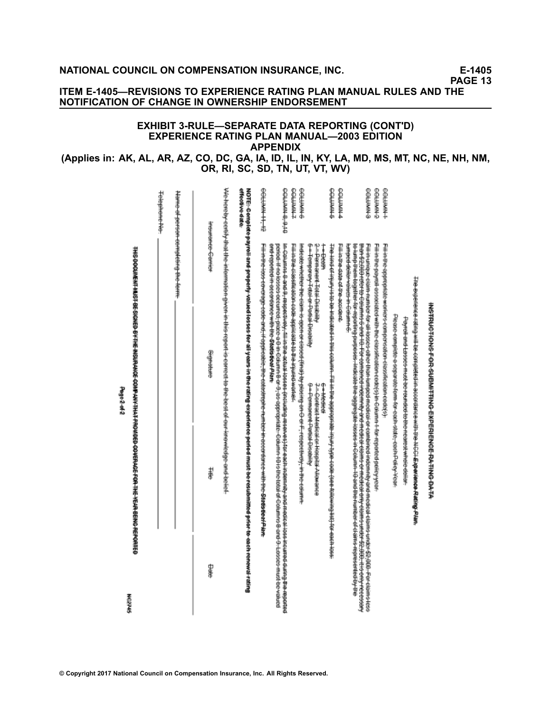**Page2-of-2** 

**HE245** 

**PAGE 13**

# **ITEM E-1405—REVISIONS TO EXPERIENCE RATING PLAN MANUAL RULES AND THE NOTIFICATION OF CHANGE IN OWNERSHIP ENDORSEMENT**

#### **EXHIBIT 3-RULE—SEPARATE DATA REPORTING (CONT'D) EXPERIENCE RATING PLAN MANUAL—2003 EDITION APPENDIX**

## (Applies in: AK, AL, AR, AZ, CO, DC, GA, IA, ID, IL, IN, KY, LA, MD, MS, MT, NC, NE, NH, NM, **OR, RI, SC, SD, TN, UT, VT, WV)**

|                | THE DOGUNENT BEST DE SKANED AT THE MODERN WAS ONDED VON WERKED COVERAGE FOR THE YEAR BERORD REPORTED                                                                                                                                                                                                                                                                                         |            |                                                                      |                   |                                     |
|----------------|----------------------------------------------------------------------------------------------------------------------------------------------------------------------------------------------------------------------------------------------------------------------------------------------------------------------------------------------------------------------------------------------|------------|----------------------------------------------------------------------|-------------------|-------------------------------------|
|                |                                                                                                                                                                                                                                                                                                                                                                                              |            |                                                                      |                   | Telephone No.                       |
|                |                                                                                                                                                                                                                                                                                                                                                                                              |            |                                                                      |                   | Name of person-completing the form: |
| <del>Bet</del> | 書                                                                                                                                                                                                                                                                                                                                                                                            | Statemeter |                                                                      | insurance Cerrici |                                     |
|                | We-hereby-cerify-thal-the-information given-in-this-report-is-correct-to-the-best-of-our-knowledge-and-belief-                                                                                                                                                                                                                                                                               |            |                                                                      |                   |                                     |
|                | NOTE-Complete payroll and properly-valued losses for all years in the rating-experience period must be resubmitted prior to -each-renewal-rating                                                                                                                                                                                                                                             |            |                                                                      |                   | diteatve date                       |
|                | Fill in the loss coverage code and, if applicable, the catactrophe number in accreasing with the Statis tien in An                                                                                                                                                                                                                                                                           |            |                                                                      |                   | <b>GGLUAN 11, 12</b>                |
|                | re Comme 5 and - Mehriday and the souls hoses-industrial resources for the model wide and model the semi-theories and model and resources in the resource of the semi-terminal model and model and model and model and model a<br>person. If no be seen ecompagnees as the column of the specialistic, Galumn His to the Altimis Band Bandees must be validation                             |            | のちからのこの中でもののからのとのようまです。 のなみずのりや げきそ                                  |                   | 0167070700                          |
|                |                                                                                                                                                                                                                                                                                                                                                                                              |            | Him the electric and the second activities in the second way.        |                   | counted                             |
|                | indicate whether the claim is agen of classic (final) by placing on G-respectively-in the column.                                                                                                                                                                                                                                                                                            |            |                                                                      |                   | <b>GARNING</b>                      |
|                | トークのHttp://www.hydrathan.com/http://www.hydrathan.com/<br>0-Demandation-District                                                                                                                                                                                                                                                                                                             | 中学生的生命     | Permanent-Total Desir<br>6 - Temperay Tetal ar Patial Dioabilty      | $+$               |                                     |
|                | The Hind of injury is to be indicated in this column. Fill in the appropriate injury type code (see Allowing Hat) for each loss:                                                                                                                                                                                                                                                             |            |                                                                      |                   | ewwwes                              |
|                |                                                                                                                                                                                                                                                                                                                                                                                              |            | 化三甲基甲烷医三甲基甲烷                                                         |                   | <b>Philaida</b>                     |
|                | than 52,000 reforts Calumnis 6 and HB. For combined indian and medical calum of medical ority changer \$2,000, it is only recessary<br>to Hing them together for reporting pulposes. Indicate the aggregate and collemn 10 and the minitare for the second reports of the<br>Fill in under einin nem est er all loges alter lian hangemed ar en mare indem hilyand ander el einis septe sept |            | lumped dellar values in Column 6.                                    |                   | e-NWHTP9                            |
|                | Fill mind the government with the second common control in Celture 1 for mp of celture paint y your second that                                                                                                                                                                                                                                                                              |            |                                                                      |                   | eerwere                             |
|                |                                                                                                                                                                                                                                                                                                                                                                                              |            | Film the dependence were computed for the confidence of the coder of |                   | <b>COLHAIN-</b>                     |
|                | PROPORTING PODRUGIO PRINTING PROPORTING PROPORTING                                                                                                                                                                                                                                                                                                                                           |            |                                                                      |                   |                                     |
|                | Payahand Hasace #Khing to His Handed Christian Changer                                                                                                                                                                                                                                                                                                                                       |            |                                                                      |                   |                                     |
|                | The experience rating will be completed in accordance with the AIC-I Experience Rating Plan.                                                                                                                                                                                                                                                                                                 |            |                                                                      |                   |                                     |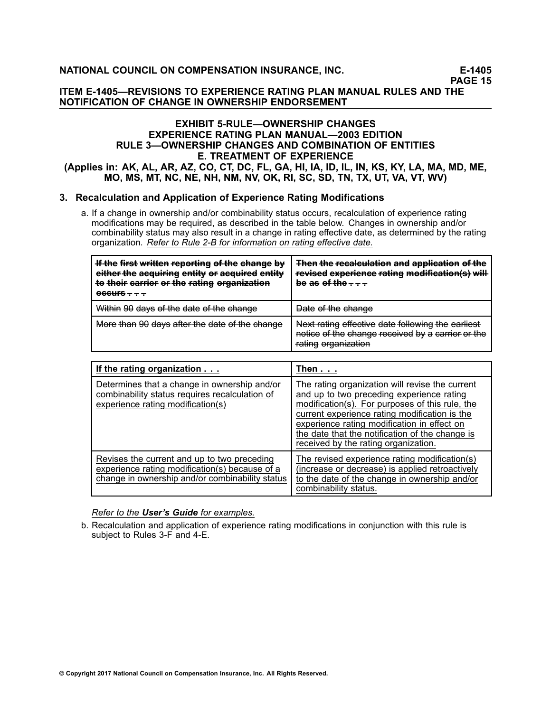#### **ITEM E-1405—REVISIONS TO EXPERIENCE RATING PLAN MANUAL RULES AND THE NOTIFICATION OF CHANGE IN OWNERSHIP ENDORSEMENT**

#### **EXHIBIT 5-RULE—OWNERSHIP CHANGES EXPERIENCE RATING PLAN MANUAL—2003 EDITION RULE 3—OWNERSHIP CHANGES AND COMBINATION OF ENTITIES E. TREATMENT OF EXPERIENCE** (Applies in: AK, AL, AR, AZ, CO, CT, DC, FL, GA, HI, IA, ID, IL, IN, KS, KY, LA, MA, MD, ME, **MO, MS, MT, NC, NE, NH, NM, NV, OK, RI, SC, SD, TN, TX, UT, VA, VT, WV)**

# **3. Recalculation and Application of Experience Rating Modifications**

a. If <sup>a</sup> change in ownership and/or combinability status occurs, recalculation of experience rating modifications may be required, as described in the table below. Changes in ownership and/or combinability status may also result in <sup>a</sup> change in rating effective date, as determined by the rating organization. *Refer to Rule 2-B for information on rating effective date.*

| If the first written reporting of the change by<br>either the aequiring entity or aequired entity<br>to their carrier or the rating organization<br><del>occurs – – –</del> | Then the recalculation and application of the<br>revised experience rating modification(s) will<br>be as of the $\pm$ $\pm$ $\pm$ |
|-----------------------------------------------------------------------------------------------------------------------------------------------------------------------------|-----------------------------------------------------------------------------------------------------------------------------------|
| Within 90 days of the date of the change                                                                                                                                    | Date of the change                                                                                                                |
| More than 90 days after the date of the change                                                                                                                              | Next rating effective date following the earliest<br>notice of the change received by a carrier or the<br>rating organization     |

| If the rating organization                                                                                                                       | Then $\ldots$                                                                                                                                                                                                                                                                                                                              |
|--------------------------------------------------------------------------------------------------------------------------------------------------|--------------------------------------------------------------------------------------------------------------------------------------------------------------------------------------------------------------------------------------------------------------------------------------------------------------------------------------------|
| Determines that a change in ownership and/or<br>combinability status requires recalculation of<br>experience rating modification(s)              | The rating organization will revise the current<br>and up to two preceding experience rating<br>modification(s). For purposes of this rule, the<br>current experience rating modification is the<br>experience rating modification in effect on<br>the date that the notification of the change is<br>received by the rating organization. |
| Revises the current and up to two preceding<br>experience rating modification(s) because of a<br>change in ownership and/or combinability status | The revised experience rating modification(s)<br>(increase or decrease) is applied retroactively<br>to the date of the change in ownership and/or<br>combinability status.                                                                                                                                                                 |

#### *Refer to the User's Guide for examples.*

b. Recalculation and application of experience rating modifications in conjunction with this rule is subject to Rules 3-F and 4-E.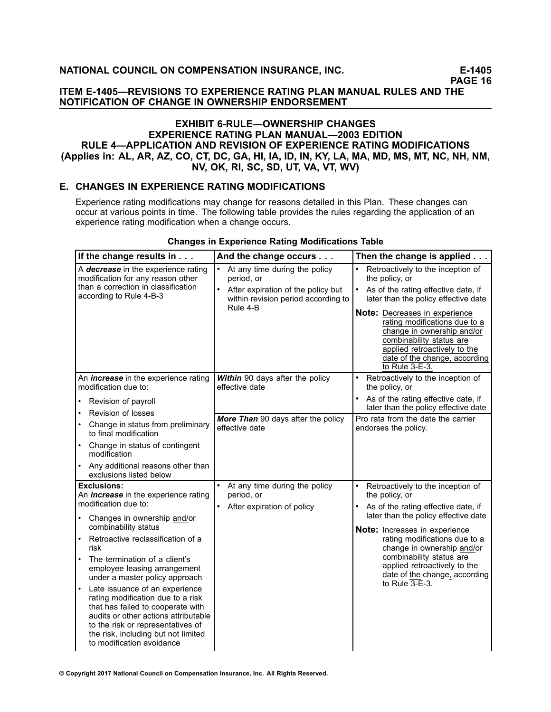#### **ITEM E-1405—REVISIONS TO EXPERIENCE RATING PLAN MANUAL RULES AND THE NOTIFICATION OF CHANGE IN OWNERSHIP ENDORSEMENT**

# **EXHIBIT 6-RULE—OWNERSHIP CHANGES EXPERIENCE RATING PLAN MANUAL—2003 EDITION RULE 4—APPLICATION AND REVISION OF EXPERIENCE RATING MODIFICATIONS** (Applies in: AL, AR, AZ, CO, CT, DC, GA, HI, IA, ID, IN, KY, LA, MA, MD, MS, MT, NC, NH, NM, **NV, OK, RI, SC, SD, UT, VA, VT, WV)**

#### **E. CHANGES IN EXPERIENCE RATING MODIFICATIONS**

Experience rating modifications may change for reasons detailed in this Plan. These changes can occur at various points in time. The following table provides the rules regarding the application of an experience rating modification when <sup>a</sup> change occurs.

| If the change results in                                                                                                                                                                                                                                               | And the change occurs                                                                                                                | Then the change is applied $\ldots$                                                                                                                                                                                                                                                                                                                            |
|------------------------------------------------------------------------------------------------------------------------------------------------------------------------------------------------------------------------------------------------------------------------|--------------------------------------------------------------------------------------------------------------------------------------|----------------------------------------------------------------------------------------------------------------------------------------------------------------------------------------------------------------------------------------------------------------------------------------------------------------------------------------------------------------|
| A <b>decrease</b> in the experience rating<br>modification for any reason other<br>than a correction in classification<br>according to Rule 4-B-3                                                                                                                      | At any time during the policy<br>period, or<br>After expiration of the policy but<br>within revision period according to<br>Rule 4-B | Retroactively to the inception of<br>$\bullet$<br>the policy, or<br>As of the rating effective date, if<br>later than the policy effective date<br>Note: Decreases in experience<br>rating modifications due to a<br>change in ownership and/or<br>combinability status are<br>applied retroactively to the<br>date of the change, according<br>to Rule 3-E-3. |
| An <i>increase</i> in the experience rating<br>modification due to:<br>Revision of payroll                                                                                                                                                                             | Within 90 days after the policy<br>effective date                                                                                    | $\bullet$<br>Retroactively to the inception of<br>the policy, or<br>As of the rating effective date, if                                                                                                                                                                                                                                                        |
| Revision of losses<br>$\bullet$                                                                                                                                                                                                                                        |                                                                                                                                      | later than the policy effective date                                                                                                                                                                                                                                                                                                                           |
| Change in status from preliminary<br>to final modification                                                                                                                                                                                                             | More Than 90 days after the policy<br>effective date                                                                                 | Pro rata from the date the carrier<br>endorses the policy.                                                                                                                                                                                                                                                                                                     |
| Change in status of contingent<br>modification                                                                                                                                                                                                                         |                                                                                                                                      |                                                                                                                                                                                                                                                                                                                                                                |
| Any additional reasons other than<br>$\bullet$<br>exclusions listed below                                                                                                                                                                                              |                                                                                                                                      |                                                                                                                                                                                                                                                                                                                                                                |
| <b>Exclusions:</b>                                                                                                                                                                                                                                                     | At any time during the policy                                                                                                        | Retroactively to the inception of                                                                                                                                                                                                                                                                                                                              |
| An <i>increase</i> in the experience rating<br>modification due to:                                                                                                                                                                                                    | period, or<br>After expiration of policy                                                                                             | the policy, or<br>As of the rating effective date, if                                                                                                                                                                                                                                                                                                          |
| Changes in ownership and/or<br>combinability status                                                                                                                                                                                                                    |                                                                                                                                      | later than the policy effective date<br>Note: Increases in experience                                                                                                                                                                                                                                                                                          |
| Retroactive reclassification of a<br>risk                                                                                                                                                                                                                              |                                                                                                                                      | rating modifications due to a<br>change in ownership and/or                                                                                                                                                                                                                                                                                                    |
| The termination of a client's<br>employee leasing arrangement<br>under a master policy approach                                                                                                                                                                        |                                                                                                                                      | combinability status are<br>applied retroactively to the<br>date of the change, according<br>to Rule 3-E-3.                                                                                                                                                                                                                                                    |
| Late issuance of an experience<br>$\bullet$<br>rating modification due to a risk<br>that has failed to cooperate with<br>audits or other actions attributable<br>to the risk or representatives of<br>the risk, including but not limited<br>to modification avoidance |                                                                                                                                      |                                                                                                                                                                                                                                                                                                                                                                |

#### **Changes in Experience Rating Modifications Table**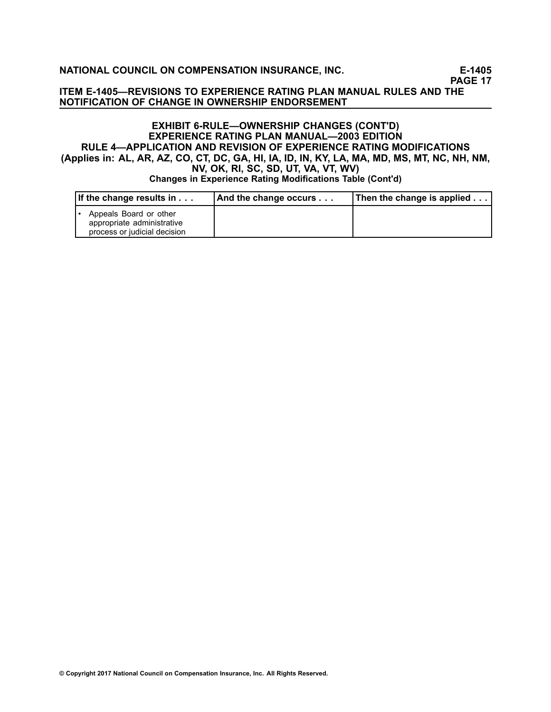**PAGE 17**

#### **ITEM E-1405—REVISIONS TO EXPERIENCE RATING PLAN MANUAL RULES AND THE NOTIFICATION OF CHANGE IN OWNERSHIP ENDORSEMENT**

# **EXHIBIT 6-RULE—OWNERSHIP CHANGES (CONT'D) EXPERIENCE RATING PLAN MANUAL—2003 EDITION RULE 4—APPLICATION AND REVISION OF EXPERIENCE RATING MODIFICATIONS** (Applies in: AL, AR, AZ, CO, CT, DC, GA, HI, IA, ID, IN, KY, LA, MA, MD, MS, MT, NC, NH, NM, **NV, OK, RI, SC, SD, UT, VA, VT, WV) Changes in Experience Rating Modifications Table (Cont'd)**

| If the change results in $\ldots$                                                    | And the change occurs | Then the change is applied |
|--------------------------------------------------------------------------------------|-----------------------|----------------------------|
| Appeals Board or other<br>appropriate administrative<br>process or judicial decision |                       |                            |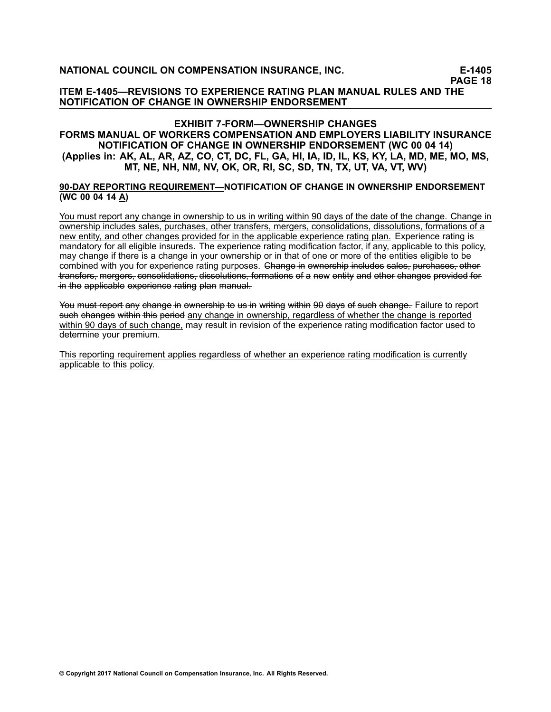**PAGE 18**

**ITEM E-1405—REVISIONS TO EXPERIENCE RATING PLAN MANUAL RULES AND THE NOTIFICATION OF CHANGE IN OWNERSHIP ENDORSEMENT**

#### **EXHIBIT 7-FORM—OWNERSHIP CHANGES FORMS MANUAL OF WORKERS COMPENSATION AND EMPLOYERS LIABILITY INSURANCE NOTIFICATION OF CHANGE IN OWNERSHIP ENDORSEMENT (WC 00 04 14)** (Applies in: AK, AL, AR, AZ, CO, CT, DC, FL, GA, HI, IA, ID, IL, KS, KY, LA, MD, ME, MO, MS, **MT, NE, NH, NM, NV, OK, OR, RI, SC, SD, TN, TX, UT, VA, VT, WV)**

#### **90-DAY REPORTING REQUIREMENT—NOTIFICATION OF CHANGE IN OWNERSHIP ENDORSEMENT (WC 00 04 14 A)**

You must report any change in ownership to us in writing within 90 days of the date of the change. Change in ownership includes sales, purchases, other transfers, mergers, consolidations, dissolutions, formations of <sup>a</sup> new entity, and other changes provided for in the applicable experience rating plan. Experience rating is mandatory for all eligible insureds. The experience rating modification factor, if any, applicable to this policy, may change if there is <sup>a</sup> change in your ownership or in that of one or more of the entities eligible to be combined with you for experience rating purposes. Change in ewnership includes sales, purchases, other transfers, mergers, consolidations, dissolutions, formations of a new entity and other changes provided for –in the applicable experience rating plan manual–

You must report any change in ownership to us in writing within 90 days of such change. Failure to report such changes within this period any change in ownership, regardless of whether the change is reported within 90 days of such change, may result in revision of the experience rating modification factor used to determine your premium.

This reporting requirement applies regardless of whether an experience rating modification is currently applicable to this policy.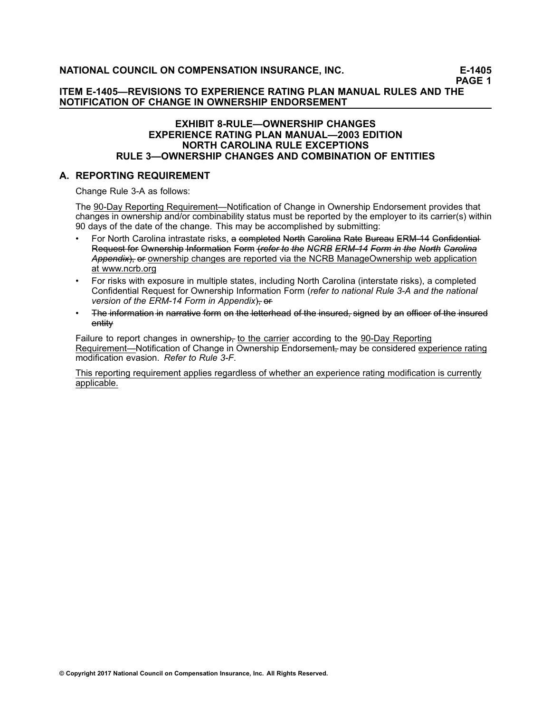**PAGE <sup>1</sup>**

# **ITEM E-1405—REVISIONS TO EXPERIENCE RATING PLAN MANUAL RULES AND THE NOTIFICATION OF CHANGE IN OWNERSHIP ENDORSEMENT**

#### **EXHIBIT 8-RULE—OWNERSHIP CHANGES EXPERIENCE RATING PLAN MANUAL—2003 EDITION NORTH CAROLINA RULE EXCEPTIONS RULE 3—OWNERSHIP CHANGES AND COMBINATION OF ENTITIES**

#### **A. REPORTING REQUIREMENT**

Change Rule 3-A as follows:

The 90-Day Reporting Requirement—Notification of Change in Ownership Endorsement provides that changes in ownership and/or combinability status must be reported by the employer to its carrier(s) within <sup>90</sup> days of the date of the change. This may be accomplished by submitting:

- •For North Carolina intrastate risks, a–completed North Garolina Rate Bureau ERM–14 Gonfidential-Request for Ownership Information Form (refer to the NGRB ERM-14 Form in the North Carolina Appendix), of ownership changes are reported via the NCRB ManageOwnership web application at www.ncrb.org
- • For risks with exposure in multiple states, including North Carolina (interstate risks), <sup>a</sup> completed Confidential Request for Ownership Information Form (*refer to national Rule 3-A and the national version* of the *ERM-14* Form in Appendix), of
- •The information in narrative form on the letterhead of the insured, signed by an officer of the insured entitv

Failure to report changes in ownership<sub> $<sub>1</sub>$ </sub> to the carrier according to the 90-Day Reporting</sub> Requirement—Notification of Change in Ownership Endorsement, may be considered experience rating modification evasion. *Refer to Rule 3-F*.

This reporting requirement applies regardless of whether an experience rating modification is currently applicable.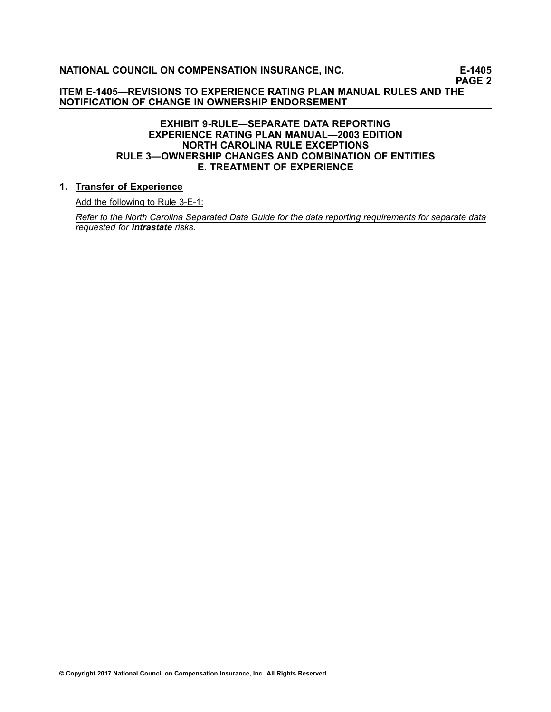**PAGE <sup>2</sup>**

**ITEM E-1405—REVISIONS TO EXPERIENCE RATING PLAN MANUAL RULES AND THE NOTIFICATION OF CHANGE IN OWNERSHIP ENDORSEMENT**

# **EXHIBIT 9-RULE—SEPARATE DATA REPORTING EXPERIENCE RATING PLAN MANUAL—2003 EDITION NORTH CAROLINA RULE EXCEPTIONS RULE 3—OWNERSHIP CHANGES AND COMBINATION OF ENTITIES E. TREATMENT OF EXPERIENCE**

## **1. Transfer of Experience**

Add the following to Rule 3-E-1:

Refer to the North Carolina Separated Data Guide for the data reporting requirements for separate data *requested for intrastate risks.*